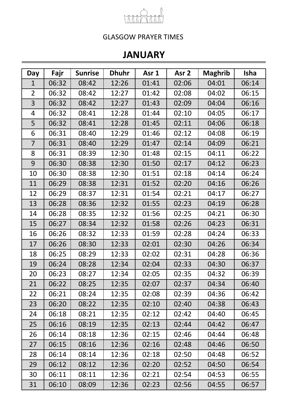

## **JANUARY**

| Day            | Fajr  | <b>Sunrise</b> | <b>Dhuhr</b> | Asr <sub>1</sub> | Asr <sub>2</sub> | <b>Maghrib</b> | <b>Isha</b> |
|----------------|-------|----------------|--------------|------------------|------------------|----------------|-------------|
| $\mathbf{1}$   | 06:32 | 08:42          | 12:26        | 01:41            | 02:06            | 04:01          | 06:14       |
| $\overline{2}$ | 06:32 | 08:42          | 12:27        | 01:42            | 02:08            | 04:02          | 06:15       |
| 3              | 06:32 | 08:42          | 12:27        | 01:43            | 02:09            | 04:04          | 06:16       |
| 4              | 06:32 | 08:41          | 12:28        | 01:44            | 02:10            | 04:05          | 06:17       |
| 5              | 06:32 | 08:41          | 12:28        | 01:45            | 02:11            | 04:06          | 06:18       |
| 6              | 06:31 | 08:40          | 12:29        | 01:46            | 02:12            | 04:08          | 06:19       |
| $\overline{7}$ | 06:31 | 08:40          | 12:29        | 01:47            | 02:14            | 04:09          | 06:21       |
| 8              | 06:31 | 08:39          | 12:30        | 01:48            | 02:15            | 04:11          | 06:22       |
| 9              | 06:30 | 08:38          | 12:30        | 01:50            | 02:17            | 04:12          | 06:23       |
| 10             | 06:30 | 08:38          | 12:30        | 01:51            | 02:18            | 04:14          | 06:24       |
| 11             | 06:29 | 08:38          | 12:31        | 01:52            | 02:20            | 04:16          | 06:26       |
| 12             | 06:29 | 08:37          | 12:31        | 01:54            | 02:21            | 04:17          | 06:27       |
| 13             | 06:28 | 08:36          | 12:32        | 01:55            | 02:23            | 04:19          | 06:28       |
| 14             | 06:28 | 08:35          | 12:32        | 01:56            | 02:25            | 04:21          | 06:30       |
| 15             | 06:27 | 08:34          | 12:32        | 01:58            | 02:26            | 04:23          | 06:31       |
| 16             | 06:26 | 08:32          | 12:33        | 01:59            | 02:28            | 04:24          | 06:33       |
| 17             | 06:26 | 08:30          | 12:33        | 02:01            | 02:30            | 04:26          | 06:34       |
| 18             | 06:25 | 08:29          | 12:33        | 02:02            | 02:31            | 04:28          | 06:36       |
| 19             | 06:24 | 08:28          | 12:34        | 02:04            | 02:33            | 04:30          | 06:37       |
| 20             | 06:23 | 08:27          | 12:34        | 02:05            | 02:35            | 04:32          | 06:39       |
| 21             | 06:22 | 08:25          | 12:35        | 02:07            | 02:37            | 04:34          | 06:40       |
| 22             | 06:21 | 08:24          | 12:35        | 02:08            | 02:39            | 04:36          | 06:42       |
| 23             | 06:20 | 08:22          | 12:35        | 02:10            | 02:40            | 04:38          | 06:43       |
| 24             | 06:18 | 08:21          | 12:35        | 02:12            | 02:42            | 04:40          | 06:45       |
| 25             | 06:16 | 08:19          | 12:35        | 02:13            | 02:44            | 04:42          | 06:47       |
| 26             | 06:14 | 08:18          | 12:36        | 02:15            | 02:46            | 04:44          | 06:48       |
| 27             | 06:15 | 08:16          | 12:36        | 02:16            | 02:48            | 04:46          | 06:50       |
| 28             | 06:14 | 08:14          | 12:36        | 02:18            | 02:50            | 04:48          | 06:52       |
| 29             | 06:12 | 08:12          | 12:36        | 02:20            | 02:52            | 04:50          | 06:54       |
| 30             | 06:11 | 08:11          | 12:36        | 02:21            | 02:54            | 04:53          | 06:55       |
| 31             | 06:10 | 08:09          | 12:36        | 02:23            | 02:56            | 04:55          | 06:57       |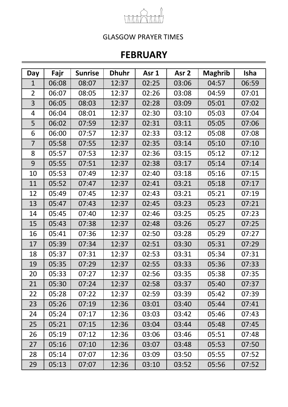

## **FEBRUARY**

| Day            | Fajr  | <b>Sunrise</b> | <b>Dhuhr</b> | Asr 1 | Asr <sub>2</sub> | <b>Maghrib</b> | <b>Isha</b> |
|----------------|-------|----------------|--------------|-------|------------------|----------------|-------------|
| $\mathbf{1}$   | 06:08 | 08:07          | 12:37        | 02:25 | 03:06            | 04:57          | 06:59       |
| $\overline{2}$ | 06:07 | 08:05          | 12:37        | 02:26 | 03:08            | 04:59          | 07:01       |
| 3              | 06:05 | 08:03          | 12:37        | 02:28 | 03:09            | 05:01          | 07:02       |
| 4              | 06:04 | 08:01          | 12:37        | 02:30 | 03:10            | 05:03          | 07:04       |
| 5              | 06:02 | 07:59          | 12:37        | 02:31 | 03:11            | 05:05          | 07:06       |
| 6              | 06:00 | 07:57          | 12:37        | 02:33 | 03:12            | 05:08          | 07:08       |
| $\overline{7}$ | 05:58 | 07:55          | 12:37        | 02:35 | 03:14            | 05:10          | 07:10       |
| 8              | 05:57 | 07:53          | 12:37        | 02:36 | 03:15            | 05:12          | 07:12       |
| 9              | 05:55 | 07:51          | 12:37        | 02:38 | 03:17            | 05:14          | 07:14       |
| 10             | 05:53 | 07:49          | 12:37        | 02:40 | 03:18            | 05:16          | 07:15       |
| 11             | 05:52 | 07:47          | 12:37        | 02:41 | 03:21            | 05:18          | 07:17       |
| 12             | 05:49 | 07:45          | 12:37        | 02:43 | 03:21            | 05:21          | 07:19       |
| 13             | 05:47 | 07:43          | 12:37        | 02:45 | 03:23            | 05:23          | 07:21       |
| 14             | 05:45 | 07:40          | 12:37        | 02:46 | 03:25            | 05:25          | 07:23       |
| 15             | 05:43 | 07:38          | 12:37        | 02:48 | 03:26            | 05:27          | 07:25       |
| 16             | 05:41 | 07:36          | 12:37        | 02:50 | 03:28            | 05:29          | 07:27       |
| 17             | 05:39 | 07:34          | 12:37        | 02:51 | 03:30            | 05:31          | 07:29       |
| 18             | 05:37 | 07:31          | 12:37        | 02:53 | 03:31            | 05:34          | 07:31       |
| 19             | 05:35 | 07:29          | 12:37        | 02:55 | 03:33            | 05:36          | 07:33       |
| 20             | 05:33 | 07:27          | 12:37        | 02:56 | 03:35            | 05:38          | 07:35       |
| 21             | 05:30 | 07:24          | 12:37        | 02:58 | 03:37            | 05:40          | 07:37       |
| 22             | 05:28 | 07:22          | 12:37        | 02:59 | 03:39            | 05:42          | 07:39       |
| 23             | 05:26 | 07:19          | 12:36        | 03:01 | 03:40            | 05:44          | 07:41       |
| 24             | 05:24 | 07:17          | 12:36        | 03:03 | 03:42            | 05:46          | 07:43       |
| 25             | 05:21 | 07:15          | 12:36        | 03:04 | 03:44            | 05:48          | 07:45       |
| 26             | 05:19 | 07:12          | 12:36        | 03:06 | 03:46            | 05:51          | 07:48       |
| 27             | 05:16 | 07:10          | 12:36        | 03:07 | 03:48            | 05:53          | 07:50       |
| 28             | 05:14 | 07:07          | 12:36        | 03:09 | 03:50            | 05:55          | 07:52       |
| 29             | 05:13 | 07:07          | 12:36        | 03:10 | 03:52            | 05:56          | 07:52       |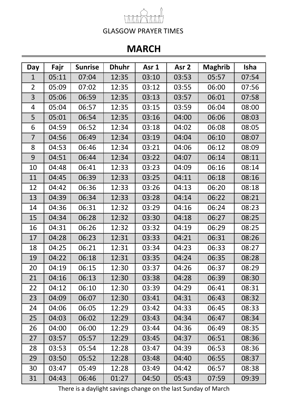## **MARCH**

| Day            | Fajr  | <b>Sunrise</b> | <b>Dhuhr</b> | Asr 1 | Asr <sub>2</sub> | <b>Maghrib</b> | <b>Isha</b> |
|----------------|-------|----------------|--------------|-------|------------------|----------------|-------------|
| $\mathbf 1$    | 05:11 | 07:04          | 12:35        | 03:10 | 03:53            | 05:57          | 07:54       |
| $\overline{2}$ | 05:09 | 07:02          | 12:35        | 03:12 | 03:55            | 06:00          | 07:56       |
| 3              | 05:06 | 06:59          | 12:35        | 03:13 | 03:57            | 06:01          | 07:58       |
| $\overline{4}$ | 05:04 | 06:57          | 12:35        | 03:15 | 03:59            | 06:04          | 08:00       |
| 5              | 05:01 | 06:54          | 12:35        | 03:16 | 04:00            | 06:06          | 08:03       |
| 6              | 04:59 | 06:52          | 12:34        | 03:18 | 04:02            | 06:08          | 08:05       |
| $\overline{7}$ | 04:56 | 06:49          | 12:34        | 03:19 | 04:04            | 06:10          | 08:07       |
| 8              | 04:53 | 06:46          | 12:34        | 03:21 | 04:06            | 06:12          | 08:09       |
| 9              | 04:51 | 06:44          | 12:34        | 03:22 | 04:07            | 06:14          | 08:11       |
| 10             | 04:48 | 06:41          | 12:33        | 03:23 | 04:09            | 06:16          | 08:14       |
| 11             | 04:45 | 06:39          | 12:33        | 03:25 | 04:11            | 06:18          | 08:16       |
| 12             | 04:42 | 06:36          | 12:33        | 03:26 | 04:13            | 06:20          | 08:18       |
| 13             | 04:39 | 06:34          | 12:33        | 03:28 | 04:14            | 06:22          | 08:21       |
| 14             | 04:36 | 06:31          | 12:32        | 03:29 | 04:16            | 06:24          | 08:23       |
| 15             | 04:34 | 06:28          | 12:32        | 03:30 | 04:18            | 06:27          | 08:25       |
| 16             | 04:31 | 06:26          | 12:32        | 03:32 | 04:19            | 06:29          | 08:25       |
| 17             | 04:28 | 06:23          | 12:31        | 03:33 | 04:21            | 06:31          | 08:26       |
| 18             | 04:25 | 06:21          | 12:31        | 03:34 | 04:23            | 06:33          | 08:27       |
| 19             | 04:22 | 06:18          | 12:31        | 03:35 | 04:24            | 06:35          | 08:28       |
| 20             | 04:19 | 06:15          | 12:30        | 03:37 | 04:26            | 06:37          | 08:29       |
| 21             | 04:16 | 06:13          | 12:30        | 03:38 | 04:28            | 06:39          | 08:30       |
| 22             | 04:12 | 06:10          | 12:30        | 03:39 | 04:29            | 06:41          | 08:31       |
| 23             | 04:09 | 06:07          | 12:30        | 03:41 | 04:31            | 06:43          | 08:32       |
| 24             | 04:06 | 06:05          | 12:29        | 03:42 | 04:33            | 06:45          | 08:33       |
| 25             | 04:03 | 06:02          | 12:29        | 03:43 | 04:34            | 06:47          | 08:34       |
| 26             | 04:00 | 06:00          | 12:29        | 03:44 | 04:36            | 06:49          | 08:35       |
| 27             | 03:57 | 05:57          | 12:29        | 03:45 | 04:37            | 06:51          | 08:36       |
| 28             | 03:53 | 05:54          | 12:28        | 03:47 | 04:39            | 06:53          | 08:36       |
| 29             | 03:50 | 05:52          | 12:28        | 03:48 | 04:40            | 06:55          | 08:37       |
| 30             | 03:47 | 05:49          | 12:28        | 03:49 | 04:42            | 06:57          | 08:38       |
| 31             | 04:43 | 06:46          | 01:27        | 04:50 | 05:43            | 07:59          | 09:39       |

There is a daylight savings change on the last Sunday of March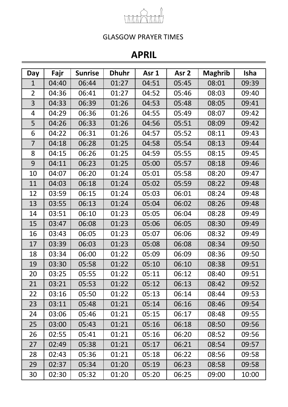

## **APRIL**

| Day            | Fajr  | <b>Sunrise</b> | <b>Dhuhr</b> | Asr 1 | Asr <sub>2</sub> | <b>Maghrib</b> | Isha  |
|----------------|-------|----------------|--------------|-------|------------------|----------------|-------|
| $\mathbf{1}$   | 04:40 | 06:44          | 01:27        | 04:51 | 05:45            | 08:01          | 09:39 |
| $\overline{2}$ | 04:36 | 06:41          | 01:27        | 04:52 | 05:46            | 08:03          | 09:40 |
| 3              | 04:33 | 06:39          | 01:26        | 04:53 | 05:48            | 08:05          | 09:41 |
| 4              | 04:29 | 06:36          | 01:26        | 04:55 | 05:49            | 08:07          | 09:42 |
| 5              | 04:26 | 06:33          | 01:26        | 04:56 | 05:51            | 08:09          | 09:42 |
| 6              | 04:22 | 06:31          | 01:26        | 04:57 | 05:52            | 08:11          | 09:43 |
| $\overline{7}$ | 04:18 | 06:28          | 01:25        | 04:58 | 05:54            | 08:13          | 09:44 |
| 8              | 04:15 | 06:26          | 01:25        | 04:59 | 05:55            | 08:15          | 09:45 |
| 9              | 04:11 | 06:23          | 01:25        | 05:00 | 05:57            | 08:18          | 09:46 |
| 10             | 04:07 | 06:20          | 01:24        | 05:01 | 05:58            | 08:20          | 09:47 |
| 11             | 04:03 | 06:18          | 01:24        | 05:02 | 05:59            | 08:22          | 09:48 |
| 12             | 03:59 | 06:15          | 01:24        | 05:03 | 06:01            | 08:24          | 09:48 |
| 13             | 03:55 | 06:13          | 01:24        | 05:04 | 06:02            | 08:26          | 09:48 |
| 14             | 03:51 | 06:10          | 01:23        | 05:05 | 06:04            | 08:28          | 09:49 |
| 15             | 03:47 | 06:08          | 01:23        | 05:06 | 06:05            | 08:30          | 09:49 |
| 16             | 03:43 | 06:05          | 01:23        | 05:07 | 06:06            | 08:32          | 09:49 |
| 17             | 03:39 | 06:03          | 01:23        | 05:08 | 06:08            | 08:34          | 09:50 |
| 18             | 03:34 | 06:00          | 01:22        | 05:09 | 06:09            | 08:36          | 09:50 |
| 19             | 03:30 | 05:58          | 01:22        | 05:10 | 06:10            | 08:38          | 09:51 |
| 20             | 03:25 | 05:55          | 01:22        | 05:11 | 06:12            | 08:40          | 09:51 |
| 21             | 03:21 | 05:53          | 01:22        | 05:12 | 06:13            | 08:42          | 09:52 |
| 22             | 03:16 | 05:50          | 01:22        | 05:13 | 06:14            | 08:44          | 09:53 |
| 23             | 03:11 | 05:48          | 01:21        | 05:14 | 06:16            | 08:46          | 09:54 |
| 24             | 03:06 | 05:46          | 01:21        | 05:15 | 06:17            | 08:48          | 09:55 |
| 25             | 03:00 | 05:43          | 01:21        | 05:16 | 06:18            | 08:50          | 09:56 |
| 26             | 02:55 | 05:41          | 01:21        | 05:16 | 06:20            | 08:52          | 09:56 |
| 27             | 02:49 | 05:38          | 01:21        | 05:17 | 06:21            | 08:54          | 09:57 |
| 28             | 02:43 | 05:36          | 01:21        | 05:18 | 06:22            | 08:56          | 09:58 |
| 29             | 02:37 | 05:34          | 01:20        | 05:19 | 06:23            | 08:58          | 09:58 |
| 30             | 02:30 | 05:32          | 01:20        | 05:20 | 06:25            | 09:00          | 10:00 |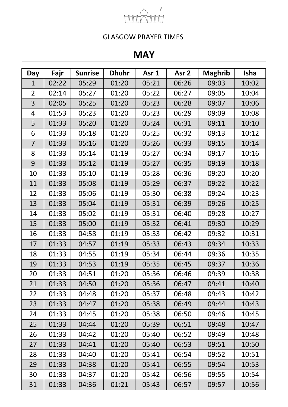

## **MAY**

| Day            | Fajr  | <b>Sunrise</b> | <b>Dhuhr</b> | Asr 1 | Asr <sub>2</sub> | <b>Maghrib</b> | <b>Isha</b> |
|----------------|-------|----------------|--------------|-------|------------------|----------------|-------------|
| $\mathbf{1}$   | 02:22 | 05:29          | 01:20        | 05:21 | 06:26            | 09:03          | 10:02       |
| $\overline{2}$ | 02:14 | 05:27          | 01:20        | 05:22 | 06:27            | 09:05          | 10:04       |
| 3              | 02:05 | 05:25          | 01:20        | 05:23 | 06:28            | 09:07          | 10:06       |
| 4              | 01:53 | 05:23          | 01:20        | 05:23 | 06:29            | 09:09          | 10:08       |
| 5              | 01:33 | 05:20          | 01:20        | 05:24 | 06:31            | 09:11          | 10:10       |
| 6              | 01:33 | 05:18          | 01:20        | 05:25 | 06:32            | 09:13          | 10:12       |
| $\overline{7}$ | 01:33 | 05:16          | 01:20        | 05:26 | 06:33            | 09:15          | 10:14       |
| 8              | 01:33 | 05:14          | 01:19        | 05:27 | 06:34            | 09:17          | 10:16       |
| 9              | 01:33 | 05:12          | 01:19        | 05:27 | 06:35            | 09:19          | 10:18       |
| 10             | 01:33 | 05:10          | 01:19        | 05:28 | 06:36            | 09:20          | 10:20       |
| 11             | 01:33 | 05:08          | 01:19        | 05:29 | 06:37            | 09:22          | 10:22       |
| 12             | 01:33 | 05:06          | 01:19        | 05:30 | 06:38            | 09:24          | 10:23       |
| 13             | 01:33 | 05:04          | 01:19        | 05:31 | 06:39            | 09:26          | 10:25       |
| 14             | 01:33 | 05:02          | 01:19        | 05:31 | 06:40            | 09:28          | 10:27       |
| 15             | 01:33 | 05:00          | 01:19        | 05:32 | 06:41            | 09:30          | 10:29       |
| 16             | 01:33 | 04:58          | 01:19        | 05:33 | 06:42            | 09:32          | 10:31       |
| 17             | 01:33 | 04:57          | 01:19        | 05:33 | 06:43            | 09:34          | 10:33       |
| 18             | 01:33 | 04:55          | 01:19        | 05:34 | 06:44            | 09:36          | 10:35       |
| 19             | 01:33 | 04:53          | 01:19        | 05:35 | 06:45            | 09:37          | 10:36       |
| 20             | 01:33 | 04:51          | 01:20        | 05:36 | 06:46            | 09:39          | 10:38       |
| 21             | 01:33 | 04:50          | 01:20        | 05:36 | 06:47            | 09:41          | 10:40       |
| 22             | 01:33 | 04:48          | 01:20        | 05:37 | 06:48            | 09:43          | 10:42       |
| 23             | 01:33 | 04:47          | 01:20        | 05:38 | 06:49            | 09:44          | 10:43       |
| 24             | 01:33 | 04:45          | 01:20        | 05:38 | 06:50            | 09:46          | 10:45       |
| 25             | 01:33 | 04:44          | 01:20        | 05:39 | 06:51            | 09:48          | 10:47       |
| 26             | 01:33 | 04:42          | 01:20        | 05:40 | 06:52            | 09:49          | 10:48       |
| 27             | 01:33 | 04:41          | 01:20        | 05:40 | 06:53            | 09:51          | 10:50       |
| 28             | 01:33 | 04:40          | 01:20        | 05:41 | 06:54            | 09:52          | 10:51       |
| 29             | 01:33 | 04:38          | 01:20        | 05:41 | 06:55            | 09:54          | 10:53       |
| 30             | 01:33 | 04:37          | 01:20        | 05:42 | 06:56            | 09:55          | 10:54       |
| 31             | 01:33 | 04:36          | 01:21        | 05:43 | 06:57            | 09:57          | 10:56       |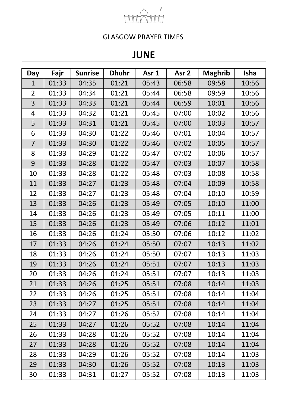

## **JUNE**

| Day            | Fajr  | <b>Sunrise</b> | <b>Dhuhr</b> | Asr 1 | Asr <sub>2</sub> | <b>Maghrib</b> | Isha  |
|----------------|-------|----------------|--------------|-------|------------------|----------------|-------|
| $\mathbf{1}$   | 01:33 | 04:35          | 01:21        | 05:43 | 06:58            | 09:58          | 10:56 |
| $\overline{2}$ | 01:33 | 04:34          | 01:21        | 05:44 | 06:58            | 09:59          | 10:56 |
| 3              | 01:33 | 04:33          | 01:21        | 05:44 | 06:59            | 10:01          | 10:56 |
| 4              | 01:33 | 04:32          | 01:21        | 05:45 | 07:00            | 10:02          | 10:56 |
| 5              | 01:33 | 04:31          | 01:21        | 05:45 | 07:00            | 10:03          | 10:57 |
| 6              | 01:33 | 04:30          | 01:22        | 05:46 | 07:01            | 10:04          | 10:57 |
| $\overline{7}$ | 01:33 | 04:30          | 01:22        | 05:46 | 07:02            | 10:05          | 10:57 |
| 8              | 01:33 | 04:29          | 01:22        | 05:47 | 07:02            | 10:06          | 10:57 |
| 9              | 01:33 | 04:28          | 01:22        | 05:47 | 07:03            | 10:07          | 10:58 |
| 10             | 01:33 | 04:28          | 01:22        | 05:48 | 07:03            | 10:08          | 10:58 |
| 11             | 01:33 | 04:27          | 01:23        | 05:48 | 07:04            | 10:09          | 10:58 |
| 12             | 01:33 | 04:27          | 01:23        | 05:48 | 07:04            | 10:10          | 10:59 |
| 13             | 01:33 | 04:26          | 01:23        | 05:49 | 07:05            | 10:10          | 11:00 |
| 14             | 01:33 | 04:26          | 01:23        | 05:49 | 07:05            | 10:11          | 11:00 |
| 15             | 01:33 | 04:26          | 01:23        | 05:49 | 07:06            | 10:12          | 11:01 |
| 16             | 01:33 | 04:26          | 01:24        | 05:50 | 07:06            | 10:12          | 11:02 |
| 17             | 01:33 | 04:26          | 01:24        | 05:50 | 07:07            | 10:13          | 11:02 |
| 18             | 01:33 | 04:26          | 01:24        | 05:50 | 07:07            | 10:13          | 11:03 |
| 19             | 01:33 | 04:26          | 01:24        | 05:51 | 07:07            | 10:13          | 11:03 |
| 20             | 01:33 | 04:26          | 01:24        | 05:51 | 07:07            | 10:13          | 11:03 |
| 21             | 01:33 | 04:26          | 01:25        | 05:51 | 07:08            | 10:14          | 11:03 |
| 22             | 01:33 | 04:26          | 01:25        | 05:51 | 07:08            | 10:14          | 11:04 |
| 23             | 01:33 | 04:27          | 01:25        | 05:51 | 07:08            | 10:14          | 11:04 |
| 24             | 01:33 | 04:27          | 01:26        | 05:52 | 07:08            | 10:14          | 11:04 |
| 25             | 01:33 | 04:27          | 01:26        | 05:52 | 07:08            | 10:14          | 11:04 |
| 26             | 01:33 | 04:28          | 01:26        | 05:52 | 07:08            | 10:14          | 11:04 |
| 27             | 01:33 | 04:28          | 01:26        | 05:52 | 07:08            | 10:14          | 11:04 |
| 28             | 01:33 | 04:29          | 01:26        | 05:52 | 07:08            | 10:14          | 11:03 |
| 29             | 01:33 | 04:30          | 01:26        | 05:52 | 07:08            | 10:13          | 11:03 |
| 30             | 01:33 | 04:31          | 01:27        | 05:52 | 07:08            | 10:13          | 11:03 |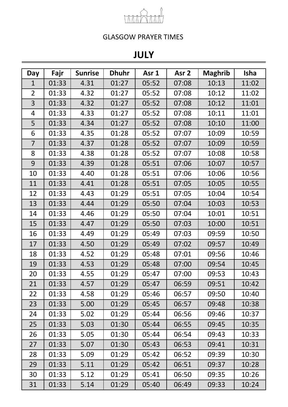

## **JULY**

| Day            | Fajr  | <b>Sunrise</b> | <b>Dhuhr</b> | Asr 1 | Asr <sub>2</sub> | <b>Maghrib</b> | <b>Isha</b> |
|----------------|-------|----------------|--------------|-------|------------------|----------------|-------------|
| $\mathbf{1}$   | 01:33 | 4.31           | 01:27        | 05:52 | 07:08            | 10:13          | 11:02       |
| $\overline{2}$ | 01:33 | 4.32           | 01:27        | 05:52 | 07:08            | 10:12          | 11:02       |
| 3              | 01:33 | 4.32           | 01:27        | 05:52 | 07:08            | 10:12          | 11:01       |
| 4              | 01:33 | 4.33           | 01:27        | 05:52 | 07:08            | 10:11          | 11:01       |
| 5              | 01:33 | 4.34           | 01:27        | 05:52 | 07:08            | 10:10          | 11:00       |
| 6              | 01:33 | 4.35           | 01:28        | 05:52 | 07:07            | 10:09          | 10:59       |
| $\overline{7}$ | 01:33 | 4.37           | 01:28        | 05:52 | 07:07            | 10:09          | 10:59       |
| 8              | 01:33 | 4.38           | 01:28        | 05:52 | 07:07            | 10:08          | 10:58       |
| 9              | 01:33 | 4.39           | 01:28        | 05:51 | 07:06            | 10:07          | 10:57       |
| 10             | 01:33 | 4.40           | 01:28        | 05:51 | 07:06            | 10:06          | 10:56       |
| 11             | 01:33 | 4.41           | 01:28        | 05:51 | 07:05            | 10:05          | 10:55       |
| 12             | 01:33 | 4.43           | 01:29        | 05:51 | 07:05            | 10:04          | 10:54       |
| 13             | 01:33 | 4.44           | 01:29        | 05:50 | 07:04            | 10:03          | 10:53       |
| 14             | 01:33 | 4.46           | 01:29        | 05:50 | 07:04            | 10:01          | 10:51       |
| 15             | 01:33 | 4.47           | 01:29        | 05:50 | 07:03            | 10:00          | 10:51       |
| 16             | 01:33 | 4.49           | 01:29        | 05:49 | 07:03            | 09:59          | 10:50       |
| 17             | 01:33 | 4.50           | 01:29        | 05:49 | 07:02            | 09:57          | 10:49       |
| 18             | 01:33 | 4.52           | 01:29        | 05:48 | 07:01            | 09:56          | 10:46       |
| 19             | 01:33 | 4.53           | 01:29        | 05:48 | 07:00            | 09:54          | 10:45       |
| 20             | 01:33 | 4.55           | 01:29        | 05:47 | 07:00            | 09:53          | 10:43       |
| 21             | 01:33 | 4.57           | 01:29        | 05:47 | 06:59            | 09:51          | 10:42       |
| 22             | 01:33 | 4.58           | 01:29        | 05:46 | 06:57            | 09:50          | 10:40       |
| 23             | 01:33 | 5.00           | 01:29        | 05:45 | 06:57            | 09:48          | 10:38       |
| 24             | 01:33 | 5.02           | 01:29        | 05:44 | 06:56            | 09:46          | 10:37       |
| 25             | 01:33 | 5.03           | 01:30        | 05:44 | 06:55            | 09:45          | 10:35       |
| 26             | 01:33 | 5.05           | 01:30        | 05:44 | 06:54            | 09:43          | 10:33       |
| 27             | 01:33 | 5.07           | 01:30        | 05:43 | 06:53            | 09:41          | 10:31       |
| 28             | 01:33 | 5.09           | 01:29        | 05:42 | 06:52            | 09:39          | 10:30       |
| 29             | 01:33 | 5.11           | 01:29        | 05:42 | 06:51            | 09:37          | 10:28       |
| 30             | 01:33 | 5.12           | 01:29        | 05:41 | 06:50            | 09:35          | 10:26       |
| 31             | 01:33 | 5.14           | 01:29        | 05:40 | 06:49            | 09:33          | 10:24       |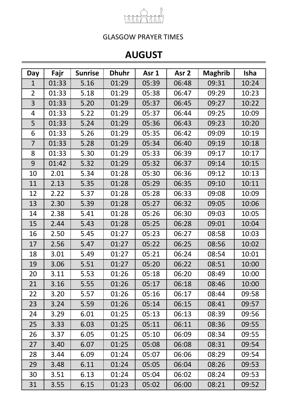

# **AUGUST**

| Day            | Fajr  | <b>Sunrise</b> | <b>Dhuhr</b> | Asr 1 | Asr <sub>2</sub> | <b>Maghrib</b> | <b>Isha</b> |
|----------------|-------|----------------|--------------|-------|------------------|----------------|-------------|
| $\mathbf{1}$   | 01:33 | 5.16           | 01:29        | 05:39 | 06:48            | 09:31          | 10:24       |
| $\overline{2}$ | 01:33 | 5.18           | 01:29        | 05:38 | 06:47            | 09:29          | 10:23       |
| 3              | 01:33 | 5.20           | 01:29        | 05:37 | 06:45            | 09:27          | 10:22       |
| 4              | 01:33 | 5.22           | 01:29        | 05:37 | 06:44            | 09:25          | 10:09       |
| 5              | 01:33 | 5.24           | 01:29        | 05:36 | 06:43            | 09:23          | 10:20       |
| 6              | 01:33 | 5.26           | 01:29        | 05:35 | 06:42            | 09:09          | 10:19       |
| 7              | 01:33 | 5.28           | 01:29        | 05:34 | 06:40            | 09:19          | 10:18       |
| 8              | 01:33 | 5.30           | 01:29        | 05:33 | 06:39            | 09:17          | 10:17       |
| 9              | 01:42 | 5.32           | 01:29        | 05:32 | 06:37            | 09:14          | 10:15       |
| 10             | 2.01  | 5.34           | 01:28        | 05:30 | 06:36            | 09:12          | 10:13       |
| 11             | 2.13  | 5.35           | 01:28        | 05:29 | 06:35            | 09:10          | 10:11       |
| 12             | 2.22  | 5.37           | 01:28        | 05:28 | 06:33            | 09:08          | 10:09       |
| 13             | 2.30  | 5.39           | 01:28        | 05:27 | 06:32            | 09:05          | 10:06       |
| 14             | 2.38  | 5.41           | 01:28        | 05:26 | 06:30            | 09:03          | 10:05       |
| 15             | 2.44  | 5.43           | 01:28        | 05:25 | 06:28            | 09:01          | 10:04       |
| 16             | 2.50  | 5.45           | 01:27        | 05:23 | 06:27            | 08:58          | 10:03       |
| 17             | 2.56  | 5.47           | 01:27        | 05:22 | 06:25            | 08:56          | 10:02       |
| 18             | 3.01  | 5.49           | 01:27        | 05:21 | 06:24            | 08:54          | 10:01       |
| 19             | 3.06  | 5.51           | 01:27        | 05:20 | 06:22            | 08:51          | 10:00       |
| 20             | 3.11  | 5.53           | 01:26        | 05:18 | 06:20            | 08:49          | 10:00       |
| 21             | 3.16  | 5.55           | 01:26        | 05:17 | 06:18            | 08:46          | 10:00       |
| 22             | 3.20  | 5.57           | 01:26        | 05:16 | 06:17            | 08:44          | 09:58       |
| 23             | 3.24  | 5.59           | 01:26        | 05:14 | 06:15            | 08:41          | 09:57       |
| 24             | 3.29  | 6.01           | 01:25        | 05:13 | 06:13            | 08:39          | 09:56       |
| 25             | 3.33  | 6.03           | 01:25        | 05:11 | 06:11            | 08:36          | 09:55       |
| 26             | 3.37  | 6.05           | 01:25        | 05:10 | 06:09            | 08:34          | 09:55       |
| 27             | 3.40  | 6.07           | 01:25        | 05:08 | 06:08            | 08:31          | 09:54       |
| 28             | 3.44  | 6.09           | 01:24        | 05:07 | 06:06            | 08:29          | 09:54       |
| 29             | 3.48  | 6.11           | 01:24        | 05:05 | 06:04            | 08:26          | 09:53       |
| 30             | 3.51  | 6.13           | 01:24        | 05:04 | 06:02            | 08:24          | 09:53       |
| 31             | 3.55  | 6.15           | 01:23        | 05:02 | 06:00            | 08:21          | 09:52       |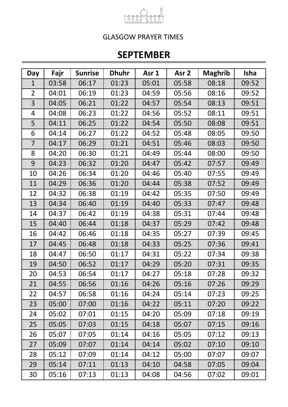

## **SEPTEMBER**

| Day            | Fajr  | <b>Sunrise</b> | <b>Dhuhr</b> | Asr 1 | Asr <sub>2</sub> | <b>Maghrib</b> | <b>Isha</b> |
|----------------|-------|----------------|--------------|-------|------------------|----------------|-------------|
| $\mathbf{1}$   | 03:58 | 06:17          | 01:23        | 05:01 | 05:58            | 08:18          | 09:52       |
| $\overline{2}$ | 04:01 | 06:19          | 01:23        | 04:59 | 05:56            | 08:16          | 09:52       |
| 3              | 04:05 | 06:21          | 01:22        | 04:57 | 05:54            | 08:13          | 09:51       |
| 4              | 04:08 | 06:23          | 01:22        | 04:56 | 05:52            | 08:11          | 09:51       |
| 5              | 04:11 | 06:25          | 01:22        | 04:54 | 05:50            | 08:08          | 09:51       |
| 6              | 04:14 | 06:27          | 01:22        | 04:52 | 05:48            | 08:05          | 09:50       |
| $\overline{7}$ | 04:17 | 06:29          | 01:21        | 04:51 | 05:46            | 08:03          | 09:50       |
| 8              | 04:20 | 06:30          | 01:21        | 04:49 | 05:44            | 08:00          | 09:50       |
| 9              | 04:23 | 06:32          | 01:20        | 04:47 | 05:42            | 07:57          | 09:49       |
| 10             | 04:26 | 06:34          | 01:20        | 04:46 | 05:40            | 07:55          | 09:49       |
| 11             | 04:29 | 06:36          | 01:20        | 04:44 | 05:38            | 07:52          | 09:49       |
| 12             | 04:32 | 06:38          | 01:19        | 04:42 | 05:35            | 07:50          | 09:49       |
| 13             | 04:34 | 06:40          | 01:19        | 04:40 | 05:33            | 07:47          | 09:48       |
| 14             | 04:37 | 06:42          | 01:19        | 04:38 | 05:31            | 07:44          | 09:48       |
| 15             | 04:40 | 06:44          | 01:18        | 04:37 | 05:29            | 07:42          | 09:48       |
| 16             | 04:42 | 06:46          | 01:18        | 04:35 | 05:27            | 07:39          | 09:45       |
| 17             | 04:45 | 06:48          | 01:18        | 04:33 | 05:25            | 07:36          | 09:41       |
| 18             | 04:47 | 06:50          | 01:17        | 04:31 | 05:22            | 07:34          | 09:38       |
| 19             | 04:50 | 06:52          | 01:17        | 04:29 | 05:20            | 07:31          | 09:35       |
| 20             | 04:53 | 06:54          | 01:17        | 04:27 | 05:18            | 07:28          | 09:32       |
| 21             | 04:55 | 06:56          | 01:16        | 04:26 | 05:16            | 07:26          | 09:29       |
| 22             | 04:57 | 06:58          | 01:16        | 04:24 | 05:14            | 07:23          | 09:25       |
| 23             | 05:00 | 07:00          | 01:16        | 04:22 | 05:11            | 07:20          | 09:22       |
| 24             | 05:02 | 07:01          | 01:15        | 04:20 | 05:09            | 07:18          | 09:19       |
| 25             | 05:05 | 07:03          | 01:15        | 04:18 | 05:07            | 07:15          | 09:16       |
| 26             | 05:07 | 07:05          | 01:14        | 04:16 | 05:05            | 07:12          | 09:13       |
| 27             | 05:09 | 07:07          | 01:14        | 04:14 | 05:02            | 07:10          | 09:10       |
| 28             | 05:12 | 07:09          | 01:14        | 04:12 | 05:00            | 07:07          | 09:07       |
| 29             | 05:14 | 07:11          | 01:13        | 04:10 | 04:58            | 07:05          | 09:04       |
| 30             | 05:16 | 07:13          | 01:13        | 04:08 | 04:56            | 07:02          | 09:01       |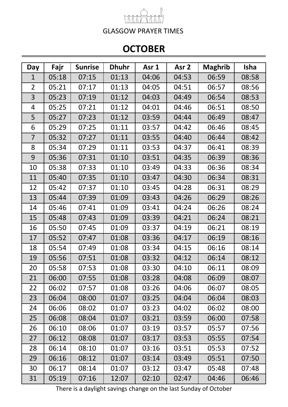# **OCTOBER**

| Day            | Fajr  | <b>Sunrise</b> | <b>Dhuhr</b> | Asr 1 | Asr <sub>2</sub> | <b>Maghrib</b> | <b>Isha</b> |
|----------------|-------|----------------|--------------|-------|------------------|----------------|-------------|
| $\mathbf 1$    | 05:18 | 07:15          | 01:13        | 04:06 | 04:53            | 06:59          | 08:58       |
| $\overline{2}$ | 05:21 | 07:17          | 01:13        | 04:05 | 04:51            | 06:57          | 08:56       |
| 3              | 05:23 | 07:19          | 01:12        | 04:03 | 04:49            | 06:54          | 08:53       |
| $\overline{4}$ | 05:25 | 07:21          | 01:12        | 04:01 | 04:46            | 06:51          | 08:50       |
| 5              | 05:27 | 07:23          | 01:12        | 03:59 | 04:44            | 06:49          | 08:47       |
| 6              | 05:29 | 07:25          | 01:11        | 03:57 | 04:42            | 06:46          | 08:45       |
| $\overline{7}$ | 05:32 | 07:27          | 01:11        | 03:55 | 04:40            | 06:44          | 08:42       |
| 8              | 05:34 | 07:29          | 01:11        | 03:53 | 04:37            | 06:41          | 08:39       |
| 9              | 05:36 | 07:31          | 01:10        | 03:51 | 04:35            | 06:39          | 08:36       |
| 10             | 05:38 | 07:33          | 01:10        | 03:49 | 04:33            | 06:36          | 08:34       |
| 11             | 05:40 | 07:35          | 01:10        | 03:47 | 04:30            | 06:34          | 08:31       |
| 12             | 05:42 | 07:37          | 01:10        | 03:45 | 04:28            | 06:31          | 08:29       |
| 13             | 05:44 | 07:39          | 01:09        | 03:43 | 04:26            | 06:29          | 08:26       |
| 14             | 05:46 | 07:41          | 01:09        | 03:41 | 04:24            | 06:26          | 08:24       |
| 15             | 05:48 | 07:43          | 01:09        | 03:39 | 04:21            | 06:24          | 08:21       |
| 16             | 05:50 | 07:45          | 01:09        | 03:37 | 04:19            | 06:21          | 08:19       |
| 17             | 05:52 | 07:47          | 01:08        | 03:36 | 04:17            | 06:19          | 08:16       |
| 18             | 05:54 | 07:49          | 01:08        | 03:34 | 04:15            | 06:16          | 08:14       |
| 19             | 05:56 | 07:51          | 01:08        | 03:32 | 04:12            | 06:14          | 08:12       |
| 20             | 05:58 | 07:53          | 01:08        | 03:30 | 04:10            | 06:11          | 08:09       |
| 21             | 06:00 | 07:55          | 01:08        | 03:28 | 04:08            | 06:09          | 08:07       |
| 22             | 06:02 | 07:57          | 01:08        | 03:26 | 04:06            | 06:07          | 08:05       |
| 23             | 06:04 | 08:00          | 01:07        | 03:25 | 04:04            | 06:04          | 08:03       |
| 24             | 06:06 | 08:02          | 01:07        | 03:23 | 04:02            | 06:02          | 08:00       |
| 25             | 06:08 | 08:04          | 01:07        | 03:21 | 03:59            | 06:00          | 07:58       |
| 26             | 06:10 | 08:06          | 01:07        | 03:19 | 03:57            | 05:57          | 07:56       |
| 27             | 06:12 | 08:08          | 01:07        | 03:17 | 03:53            | 05:55          | 07:54       |
| 28             | 06:14 | 08:10          | 01:07        | 03:16 | 03:51            | 05:53          | 07:52       |
| 29             | 06:16 | 08:12          | 01:07        | 03:14 | 03:49            | 05:51          | 07:50       |
| 30             | 06:17 | 08:14          | 01:07        | 03:12 | 03:47            | 05:48          | 07:48       |
| 31             | 05:19 | 07:16          | 12:07        | 02:10 | 02:47            | 04:46          | 06:46       |

There is a daylight savings change on the last Sunday of October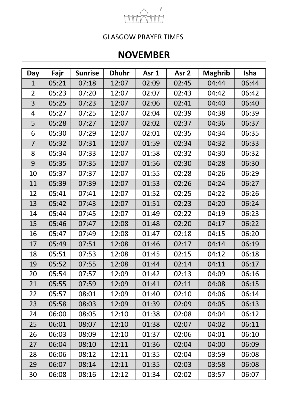

## **NOVEMBER**

| Day            | Fajr  | <b>Sunrise</b> | <b>Dhuhr</b> | Asr <sub>1</sub> | Asr <sub>2</sub> | <b>Maghrib</b> | <b>Isha</b> |
|----------------|-------|----------------|--------------|------------------|------------------|----------------|-------------|
| $\mathbf 1$    | 05:21 | 07:18          | 12:07        | 02:09            | 02:45            | 04:44          | 06:44       |
| $\overline{2}$ | 05:23 | 07:20          | 12:07        | 02:07            | 02:43            | 04:42          | 06:42       |
| 3              | 05:25 | 07:23          | 12:07        | 02:06            | 02:41            | 04:40          | 06:40       |
| $\overline{4}$ | 05:27 | 07:25          | 12:07        | 02:04            | 02:39            | 04:38          | 06:39       |
| 5              | 05:28 | 07:27          | 12:07        | 02:02            | 02:37            | 04:36          | 06:37       |
| 6              | 05:30 | 07:29          | 12:07        | 02:01            | 02:35            | 04:34          | 06:35       |
| 7              | 05:32 | 07:31          | 12:07        | 01:59            | 02:34            | 04:32          | 06:33       |
| 8              | 05:34 | 07:33          | 12:07        | 01:58            | 02:32            | 04:30          | 06:32       |
| 9              | 05:35 | 07:35          | 12:07        | 01:56            | 02:30            | 04:28          | 06:30       |
| 10             | 05:37 | 07:37          | 12:07        | 01:55            | 02:28            | 04:26          | 06:29       |
| 11             | 05:39 | 07:39          | 12:07        | 01:53            | 02:26            | 04:24          | 06:27       |
| 12             | 05:41 | 07:41          | 12:07        | 01:52            | 02:25            | 04:22          | 06:26       |
| 13             | 05:42 | 07:43          | 12:07        | 01:51            | 02:23            | 04:20          | 06:24       |
| 14             | 05:44 | 07:45          | 12:07        | 01:49            | 02:22            | 04:19          | 06:23       |
| 15             | 05:46 | 07:47          | 12:08        | 01:48            | 02:20            | 04:17          | 06:22       |
| 16             | 05:47 | 07:49          | 12:08        | 01:47            | 02:18            | 04:15          | 06:20       |
| 17             | 05:49 | 07:51          | 12:08        | 01:46            | 02:17            | 04:14          | 06:19       |
| 18             | 05:51 | 07:53          | 12:08        | 01:45            | 02:15            | 04:12          | 06:18       |
| 19             | 05:52 | 07:55          | 12:08        | 01:44            | 02:14            | 04:11          | 06:17       |
| 20             | 05:54 | 07:57          | 12:09        | 01:42            | 02:13            | 04:09          | 06:16       |
| 21             | 05:55 | 07:59          | 12:09        | 01:41            | 02:11            | 04:08          | 06:15       |
| 22             | 05:57 | 08:01          | 12:09        | 01:40            | 02:10            | 04:06          | 06:14       |
| 23             | 05:58 | 08:03          | 12:09        | 01:39            | 02:09            | 04:05          | 06:13       |
| 24             | 06:00 | 08:05          | 12:10        | 01:38            | 02:08            | 04:04          | 06:12       |
| 25             | 06:01 | 08:07          | 12:10        | 01:38            | 02:07            | 04:02          | 06:11       |
| 26             | 06:03 | 08:09          | 12:10        | 01:37            | 02:06            | 04:01          | 06:10       |
| 27             | 06:04 | 08:10          | 12:11        | 01:36            | 02:04            | 04:00          | 06:09       |
| 28             | 06:06 | 08:12          | 12:11        | 01:35            | 02:04            | 03:59          | 06:08       |
| 29             | 06:07 | 08:14          | 12:11        | 01:35            | 02:03            | 03:58          | 06:08       |
| 30             | 06:08 | 08:16          | 12:12        | 01:34            | 02:02            | 03:57          | 06:07       |